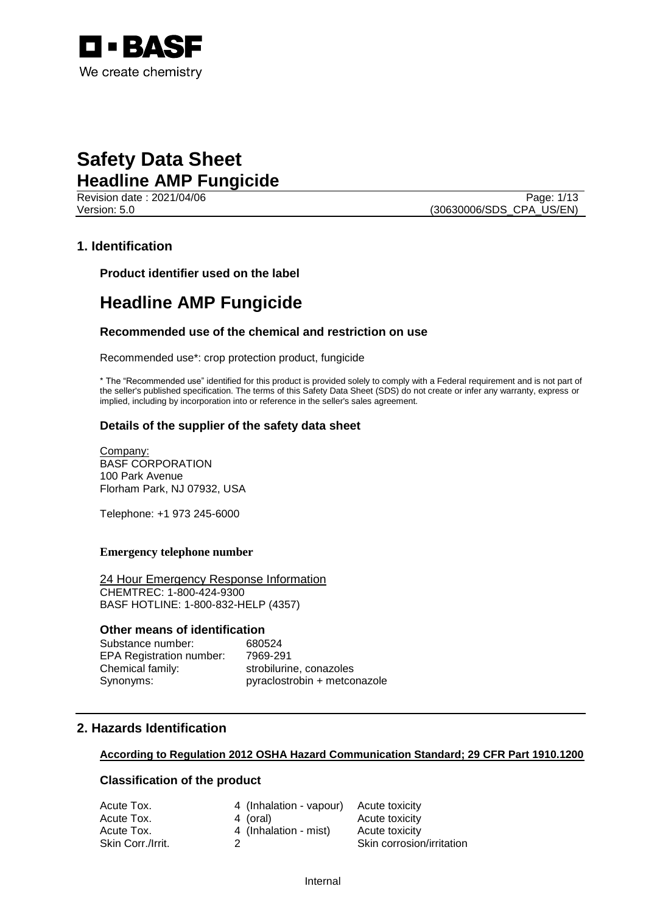

Revision date : 2021/04/06 Page: 1/13 Version: 5.0 (30630006/SDS\_CPA\_US/EN)

## **1. Identification**

**Product identifier used on the label**

## **Headline AMP Fungicide**

## **Recommended use of the chemical and restriction on use**

Recommended use\*: crop protection product, fungicide

\* The "Recommended use" identified for this product is provided solely to comply with a Federal requirement and is not part of the seller's published specification. The terms of this Safety Data Sheet (SDS) do not create or infer any warranty, express or implied, including by incorporation into or reference in the seller's sales agreement.

## **Details of the supplier of the safety data sheet**

Company: BASF CORPORATION 100 Park Avenue Florham Park, NJ 07932, USA

Telephone: +1 973 245-6000

#### **Emergency telephone number**

24 Hour Emergency Response Information CHEMTREC: 1-800-424-9300 BASF HOTLINE: 1-800-832-HELP (4357)

## **Other means of identification**

Substance number: 680524 EPA Registration number: 7969-291 Chemical family: strobilurine, conazoles Synonyms: pyraclostrobin + metconazole

## **2. Hazards Identification**

#### **According to Regulation 2012 OSHA Hazard Communication Standard; 29 CFR Part 1910.1200**

## **Classification of the product**

| Acute Tox.        | 4 (Inhalation - vapour) Acute toxicity |                           |
|-------------------|----------------------------------------|---------------------------|
| Acute Tox.        | 4 (oral)                               | Acute toxicity            |
| Acute Tox.        | 4 (Inhalation - mist)                  | Acute toxicity            |
| Skin Corr./Irrit. |                                        | Skin corrosion/irritation |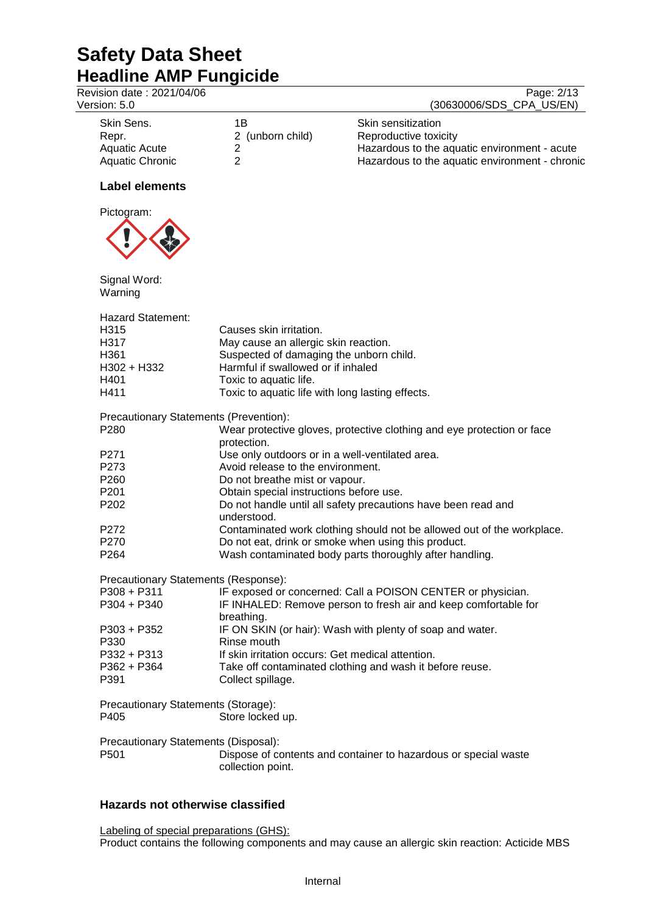| וופטאוווופ רוווו ו מוואַוטוע              |                                                  |                                                                        |
|-------------------------------------------|--------------------------------------------------|------------------------------------------------------------------------|
| Revision date: 2021/04/06<br>Version: 5.0 |                                                  | Page: 2/13<br>(30630006/SDS_CPA_US/EN)                                 |
|                                           |                                                  |                                                                        |
| Skin Sens.                                | 1B                                               | Skin sensitization                                                     |
| Repr.                                     | 2 (unborn child)                                 | Reproductive toxicity                                                  |
| <b>Aquatic Acute</b>                      | $\overline{2}$                                   | Hazardous to the aquatic environment - acute                           |
| <b>Aquatic Chronic</b>                    | $\overline{2}$                                   | Hazardous to the aquatic environment - chronic                         |
| <b>Label elements</b>                     |                                                  |                                                                        |
| Pictogram:                                |                                                  |                                                                        |
|                                           |                                                  |                                                                        |
| Signal Word:                              |                                                  |                                                                        |
| Warning                                   |                                                  |                                                                        |
| <b>Hazard Statement:</b>                  |                                                  |                                                                        |
| H315                                      | Causes skin irritation.                          |                                                                        |
| H317                                      | May cause an allergic skin reaction.             |                                                                        |
| H361                                      | Suspected of damaging the unborn child.          |                                                                        |
| H302 + H332                               | Harmful if swallowed or if inhaled               |                                                                        |
| H401                                      | Toxic to aquatic life.                           |                                                                        |
| H411                                      | Toxic to aquatic life with long lasting effects. |                                                                        |
| Precautionary Statements (Prevention):    |                                                  |                                                                        |
| P280                                      |                                                  | Wear protective gloves, protective clothing and eye protection or face |
|                                           | protection.                                      |                                                                        |
| P271                                      | Use only outdoors or in a well-ventilated area.  |                                                                        |
| P273                                      | Avoid release to the environment.                |                                                                        |
| P260                                      | Do not breathe mist or vapour.                   |                                                                        |
| P201                                      | Obtain special instructions before use.          |                                                                        |
| P202                                      |                                                  | Do not handle until all safety precautions have been read and          |
|                                           | understood.                                      |                                                                        |
| P272                                      |                                                  | Contaminated work clothing should not be allowed out of the workplace. |
| P270                                      |                                                  | Do not eat, drink or smoke when using this product.                    |
| P264                                      |                                                  | Wash contaminated body parts thoroughly after handling.                |
| Precautionary Statements (Response):      |                                                  |                                                                        |
| P308 + P311                               |                                                  | IF exposed or concerned: Call a POISON CENTER or physician.            |
| P304 + P340                               |                                                  | IF INHALED: Remove person to fresh air and keep comfortable for        |

| P304 + P340 | IF INHALED: Remove person to fresh air and keep comfortable for |
|-------------|-----------------------------------------------------------------|
|             | breathing.                                                      |
| P303 + P352 | IF ON SKIN (or hair): Wash with plenty of soap and water.       |
| P330        | Rinse mouth                                                     |
| P332 + P313 | If skin irritation occurs: Get medical attention.               |
| P362 + P364 | Take off contaminated clothing and wash it before reuse.        |
| P391        | Collect spillage.                                               |
|             |                                                                 |

Precautionary Statements (Storage):

P405 Store locked up.

Precautionary Statements (Disposal):<br>P501 Dispose of co Dispose of contents and container to hazardous or special waste collection point.

## **Hazards not otherwise classified**

Labeling of special preparations (GHS): Product contains the following components and may cause an allergic skin reaction: Acticide MBS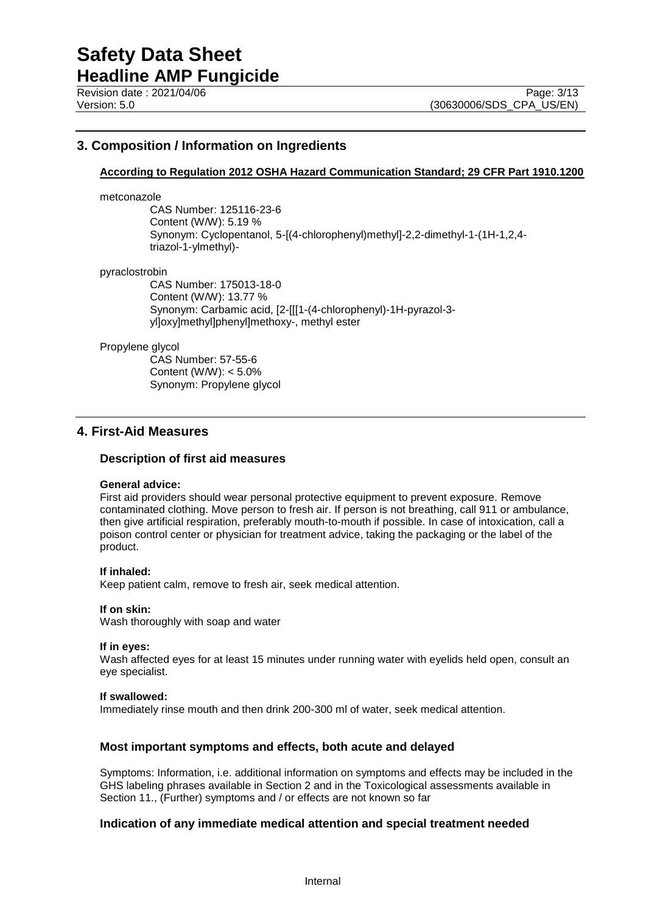## **3. Composition / Information on Ingredients**

## **According to Regulation 2012 OSHA Hazard Communication Standard; 29 CFR Part 1910.1200**

#### metconazole

CAS Number: 125116-23-6 Content (W/W): 5.19 % Synonym: Cyclopentanol, 5-[(4-chlorophenyl)methyl]-2,2-dimethyl-1-(1H-1,2,4 triazol-1-ylmethyl)-

#### pyraclostrobin

CAS Number: 175013-18-0 Content (W/W): 13.77 % Synonym: Carbamic acid, [2-[[[1-(4-chlorophenyl)-1H-pyrazol-3 yl]oxy]methyl]phenyl]methoxy-, methyl ester

#### Propylene glycol

CAS Number: 57-55-6 Content (W/W): < 5.0% Synonym: Propylene glycol

## **4. First-Aid Measures**

#### **Description of first aid measures**

#### **General advice:**

First aid providers should wear personal protective equipment to prevent exposure. Remove contaminated clothing. Move person to fresh air. If person is not breathing, call 911 or ambulance, then give artificial respiration, preferably mouth-to-mouth if possible. In case of intoxication, call a poison control center or physician for treatment advice, taking the packaging or the label of the product.

#### **If inhaled:**

Keep patient calm, remove to fresh air, seek medical attention.

#### **If on skin:**

Wash thoroughly with soap and water

#### **If in eyes:**

Wash affected eyes for at least 15 minutes under running water with eyelids held open, consult an eye specialist.

#### **If swallowed:**

Immediately rinse mouth and then drink 200-300 ml of water, seek medical attention.

## **Most important symptoms and effects, both acute and delayed**

Symptoms: Information, i.e. additional information on symptoms and effects may be included in the GHS labeling phrases available in Section 2 and in the Toxicological assessments available in Section 11., (Further) symptoms and / or effects are not known so far

#### **Indication of any immediate medical attention and special treatment needed**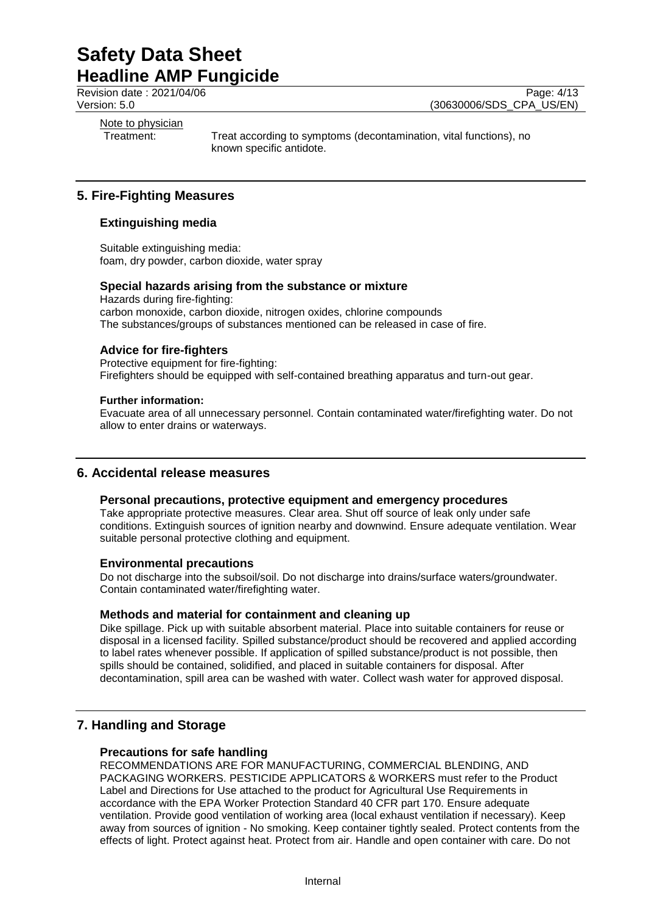Revision date : 2021/04/06 Page: 4/13<br>Version: 5.0 (30630006/SDS CPA US/EN) (30630006/SDS\_CPA\_US/EN)

Note to physician

Treatment: Treat according to symptoms (decontamination, vital functions), no known specific antidote.

## **5. Fire-Fighting Measures**

## **Extinguishing media**

Suitable extinguishing media: foam, dry powder, carbon dioxide, water spray

#### **Special hazards arising from the substance or mixture**

Hazards during fire-fighting: carbon monoxide, carbon dioxide, nitrogen oxides, chlorine compounds The substances/groups of substances mentioned can be released in case of fire.

## **Advice for fire-fighters**

Protective equipment for fire-fighting: Firefighters should be equipped with self-contained breathing apparatus and turn-out gear.

#### **Further information:**

Evacuate area of all unnecessary personnel. Contain contaminated water/firefighting water. Do not allow to enter drains or waterways.

## **6. Accidental release measures**

## **Personal precautions, protective equipment and emergency procedures**

Take appropriate protective measures. Clear area. Shut off source of leak only under safe conditions. Extinguish sources of ignition nearby and downwind. Ensure adequate ventilation. Wear suitable personal protective clothing and equipment.

## **Environmental precautions**

Do not discharge into the subsoil/soil. Do not discharge into drains/surface waters/groundwater. Contain contaminated water/firefighting water.

## **Methods and material for containment and cleaning up**

Dike spillage. Pick up with suitable absorbent material. Place into suitable containers for reuse or disposal in a licensed facility. Spilled substance/product should be recovered and applied according to label rates whenever possible. If application of spilled substance/product is not possible, then spills should be contained, solidified, and placed in suitable containers for disposal. After decontamination, spill area can be washed with water. Collect wash water for approved disposal.

## **7. Handling and Storage**

#### **Precautions for safe handling**

RECOMMENDATIONS ARE FOR MANUFACTURING, COMMERCIAL BLENDING, AND PACKAGING WORKERS. PESTICIDE APPLICATORS & WORKERS must refer to the Product Label and Directions for Use attached to the product for Agricultural Use Requirements in accordance with the EPA Worker Protection Standard 40 CFR part 170. Ensure adequate ventilation. Provide good ventilation of working area (local exhaust ventilation if necessary). Keep away from sources of ignition - No smoking. Keep container tightly sealed. Protect contents from the effects of light. Protect against heat. Protect from air. Handle and open container with care. Do not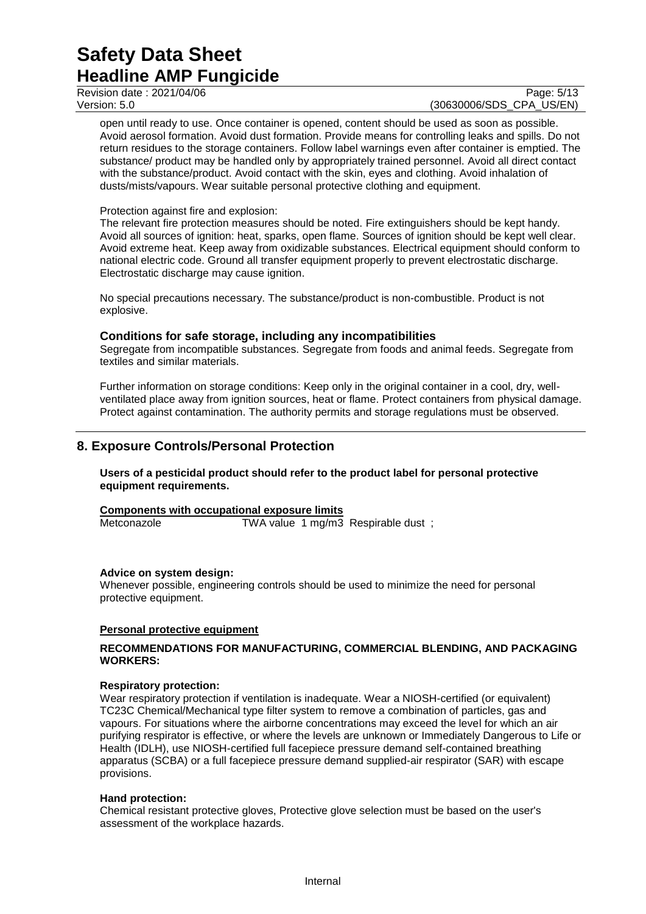Revision date : 2021/04/06 Page: 5/13<br>Version: 5.0 (30630006/SDS CPA US/EN)

(30630006/SDS\_CPA\_US/EN)

open until ready to use. Once container is opened, content should be used as soon as possible. Avoid aerosol formation. Avoid dust formation. Provide means for controlling leaks and spills. Do not return residues to the storage containers. Follow label warnings even after container is emptied. The substance/ product may be handled only by appropriately trained personnel. Avoid all direct contact with the substance/product. Avoid contact with the skin, eyes and clothing. Avoid inhalation of dusts/mists/vapours. Wear suitable personal protective clothing and equipment.

#### Protection against fire and explosion:

The relevant fire protection measures should be noted. Fire extinguishers should be kept handy. Avoid all sources of ignition: heat, sparks, open flame. Sources of ignition should be kept well clear. Avoid extreme heat. Keep away from oxidizable substances. Electrical equipment should conform to national electric code. Ground all transfer equipment properly to prevent electrostatic discharge. Electrostatic discharge may cause ignition.

No special precautions necessary. The substance/product is non-combustible. Product is not explosive.

#### **Conditions for safe storage, including any incompatibilities**

Segregate from incompatible substances. Segregate from foods and animal feeds. Segregate from textiles and similar materials.

Further information on storage conditions: Keep only in the original container in a cool, dry, wellventilated place away from ignition sources, heat or flame. Protect containers from physical damage. Protect against contamination. The authority permits and storage regulations must be observed.

## **8. Exposure Controls/Personal Protection**

**Users of a pesticidal product should refer to the product label for personal protective equipment requirements.**

|             | Components with occupational exposure limits |  |
|-------------|----------------------------------------------|--|
| Metconazole | TWA value 1 mg/m3 Respirable dust;           |  |

#### **Advice on system design:**

Whenever possible, engineering controls should be used to minimize the need for personal protective equipment.

#### **Personal protective equipment**

#### **RECOMMENDATIONS FOR MANUFACTURING, COMMERCIAL BLENDING, AND PACKAGING WORKERS:**

#### **Respiratory protection:**

Wear respiratory protection if ventilation is inadequate. Wear a NIOSH-certified (or equivalent) TC23C Chemical/Mechanical type filter system to remove a combination of particles, gas and vapours. For situations where the airborne concentrations may exceed the level for which an air purifying respirator is effective, or where the levels are unknown or Immediately Dangerous to Life or Health (IDLH), use NIOSH-certified full facepiece pressure demand self-contained breathing apparatus (SCBA) or a full facepiece pressure demand supplied-air respirator (SAR) with escape provisions.

#### **Hand protection:**

Chemical resistant protective gloves, Protective glove selection must be based on the user's assessment of the workplace hazards.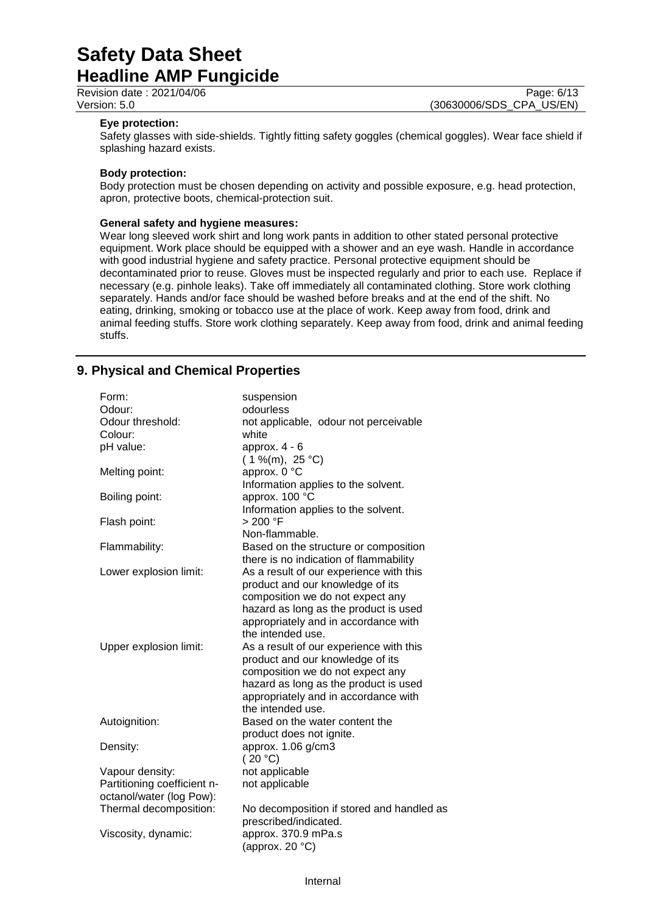Revision date : 2021/04/06 Page: 6/13<br>Version: 5.0 (30630006/SDS CPA US/EN) (30630006/SDS\_CPA\_US/EN)

#### **Eye protection:**

Safety glasses with side-shields. Tightly fitting safety goggles (chemical goggles). Wear face shield if splashing hazard exists.

#### **Body protection:**

Body protection must be chosen depending on activity and possible exposure, e.g. head protection, apron, protective boots, chemical-protection suit.

#### **General safety and hygiene measures:**

Wear long sleeved work shirt and long work pants in addition to other stated personal protective equipment. Work place should be equipped with a shower and an eye wash. Handle in accordance with good industrial hygiene and safety practice. Personal protective equipment should be decontaminated prior to reuse. Gloves must be inspected regularly and prior to each use. Replace if necessary (e.g. pinhole leaks). Take off immediately all contaminated clothing. Store work clothing separately. Hands and/or face should be washed before breaks and at the end of the shift. No eating, drinking, smoking or tobacco use at the place of work. Keep away from food, drink and animal feeding stuffs. Store work clothing separately. Keep away from food, drink and animal feeding stuffs.

## **9. Physical and Chemical Properties**

| odourless<br>Odour:<br>Odour threshold:<br>not applicable, odour not perceivable<br>Colour:<br>white<br>pH value:<br>approx. $4 - 6$<br>$(1\%$ (m), 25 °C)<br>approx. 0 °C<br>Melting point:<br>Information applies to the solvent.<br>approx. 100 °C<br>Boiling point:<br>Information applies to the solvent. |
|----------------------------------------------------------------------------------------------------------------------------------------------------------------------------------------------------------------------------------------------------------------------------------------------------------------|
|                                                                                                                                                                                                                                                                                                                |
|                                                                                                                                                                                                                                                                                                                |
|                                                                                                                                                                                                                                                                                                                |
|                                                                                                                                                                                                                                                                                                                |
|                                                                                                                                                                                                                                                                                                                |
|                                                                                                                                                                                                                                                                                                                |
|                                                                                                                                                                                                                                                                                                                |
|                                                                                                                                                                                                                                                                                                                |
|                                                                                                                                                                                                                                                                                                                |
| > 200 °F<br>Flash point:                                                                                                                                                                                                                                                                                       |
| Non-flammable.                                                                                                                                                                                                                                                                                                 |
| Flammability:<br>Based on the structure or composition                                                                                                                                                                                                                                                         |
| there is no indication of flammability                                                                                                                                                                                                                                                                         |
| As a result of our experience with this<br>Lower explosion limit:                                                                                                                                                                                                                                              |
| product and our knowledge of its                                                                                                                                                                                                                                                                               |
| composition we do not expect any                                                                                                                                                                                                                                                                               |
| hazard as long as the product is used                                                                                                                                                                                                                                                                          |
| appropriately and in accordance with                                                                                                                                                                                                                                                                           |
| the intended use.                                                                                                                                                                                                                                                                                              |
| Upper explosion limit:<br>As a result of our experience with this                                                                                                                                                                                                                                              |
| product and our knowledge of its                                                                                                                                                                                                                                                                               |
| composition we do not expect any                                                                                                                                                                                                                                                                               |
| hazard as long as the product is used                                                                                                                                                                                                                                                                          |
| appropriately and in accordance with                                                                                                                                                                                                                                                                           |
| the intended use.                                                                                                                                                                                                                                                                                              |
| Autoignition:<br>Based on the water content the                                                                                                                                                                                                                                                                |
| product does not ignite.                                                                                                                                                                                                                                                                                       |
| approx. 1.06 g/cm3<br>Density:                                                                                                                                                                                                                                                                                 |
| (20 °C)                                                                                                                                                                                                                                                                                                        |
| not applicable<br>Vapour density:                                                                                                                                                                                                                                                                              |
| Partitioning coefficient n-<br>not applicable                                                                                                                                                                                                                                                                  |
| octanol/water (log Pow):                                                                                                                                                                                                                                                                                       |
| Thermal decomposition:<br>No decomposition if stored and handled as                                                                                                                                                                                                                                            |
| prescribed/indicated.                                                                                                                                                                                                                                                                                          |
| approx. 370.9 mPa.s<br>Viscosity, dynamic:                                                                                                                                                                                                                                                                     |
| (approx. 20 $°C$ )                                                                                                                                                                                                                                                                                             |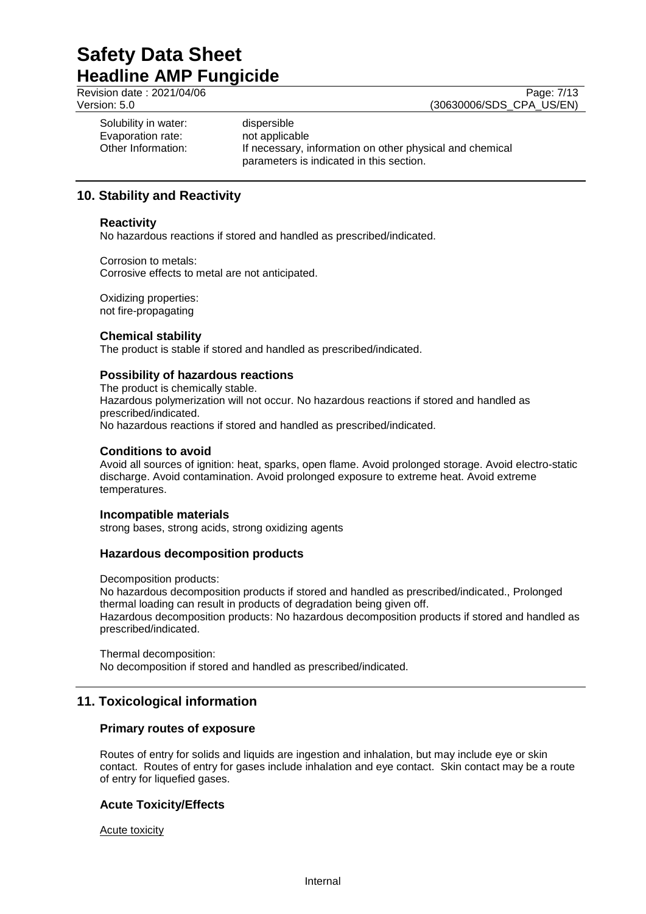Revision date : 2021/04/06 Page: 7/13<br>Version: 5.0 (30630006/SDS CPA US/EN) (30630006/SDS\_CPA\_US/EN)

Solubility in water: dispersible Evaporation rate: not applicable<br>Other Information: If necessary, i

If necessary, information on other physical and chemical parameters is indicated in this section.

## **10. Stability and Reactivity**

## **Reactivity**

No hazardous reactions if stored and handled as prescribed/indicated.

Corrosion to metals: Corrosive effects to metal are not anticipated.

Oxidizing properties: not fire-propagating

## **Chemical stability**

The product is stable if stored and handled as prescribed/indicated.

## **Possibility of hazardous reactions**

The product is chemically stable. Hazardous polymerization will not occur. No hazardous reactions if stored and handled as prescribed/indicated. No hazardous reactions if stored and handled as prescribed/indicated.

#### **Conditions to avoid**

Avoid all sources of ignition: heat, sparks, open flame. Avoid prolonged storage. Avoid electro-static discharge. Avoid contamination. Avoid prolonged exposure to extreme heat. Avoid extreme temperatures.

#### **Incompatible materials**

strong bases, strong acids, strong oxidizing agents

## **Hazardous decomposition products**

Decomposition products:

No hazardous decomposition products if stored and handled as prescribed/indicated., Prolonged thermal loading can result in products of degradation being given off. Hazardous decomposition products: No hazardous decomposition products if stored and handled as prescribed/indicated.

Thermal decomposition: No decomposition if stored and handled as prescribed/indicated.

## **11. Toxicological information**

## **Primary routes of exposure**

Routes of entry for solids and liquids are ingestion and inhalation, but may include eye or skin contact. Routes of entry for gases include inhalation and eye contact. Skin contact may be a route of entry for liquefied gases.

## **Acute Toxicity/Effects**

Acute toxicity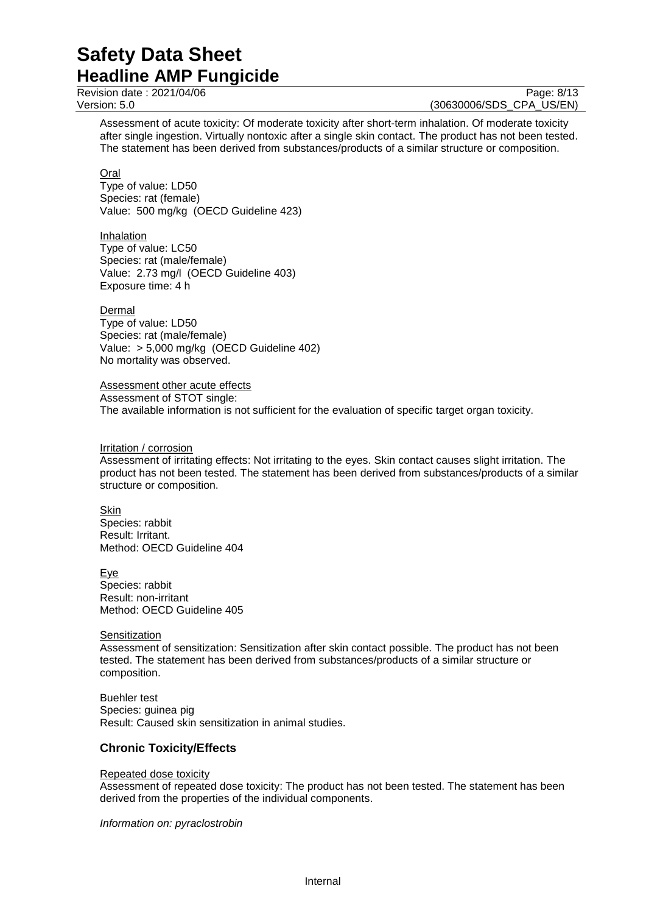Revision date : 2021/04/06 Page: 8/13<br>Version: 5.0 (30630006/SDS CPA US/EN)

(30630006/SDS\_CPA\_US/EN)

Assessment of acute toxicity: Of moderate toxicity after short-term inhalation. Of moderate toxicity after single ingestion. Virtually nontoxic after a single skin contact. The product has not been tested. The statement has been derived from substances/products of a similar structure or composition.

Oral

Type of value: LD50 Species: rat (female) Value: 500 mg/kg (OECD Guideline 423)

Inhalation Type of value: LC50 Species: rat (male/female) Value: 2.73 mg/l (OECD Guideline 403) Exposure time: 4 h

Dermal Type of value: LD50 Species: rat (male/female) Value: > 5,000 mg/kg (OECD Guideline 402) No mortality was observed.

Assessment other acute effects Assessment of STOT single: The available information is not sufficient for the evaluation of specific target organ toxicity.

Irritation / corrosion

Assessment of irritating effects: Not irritating to the eyes. Skin contact causes slight irritation. The product has not been tested. The statement has been derived from substances/products of a similar structure or composition.

Skin Species: rabbit Result: Irritant. Method: OECD Guideline 404

Eye Species: rabbit Result: non-irritant Method: OECD Guideline 405

#### **Sensitization**

Assessment of sensitization: Sensitization after skin contact possible. The product has not been tested. The statement has been derived from substances/products of a similar structure or composition.

Buehler test Species: guinea pig Result: Caused skin sensitization in animal studies.

## **Chronic Toxicity/Effects**

#### Repeated dose toxicity

Assessment of repeated dose toxicity: The product has not been tested. The statement has been derived from the properties of the individual components.

*Information on: pyraclostrobin*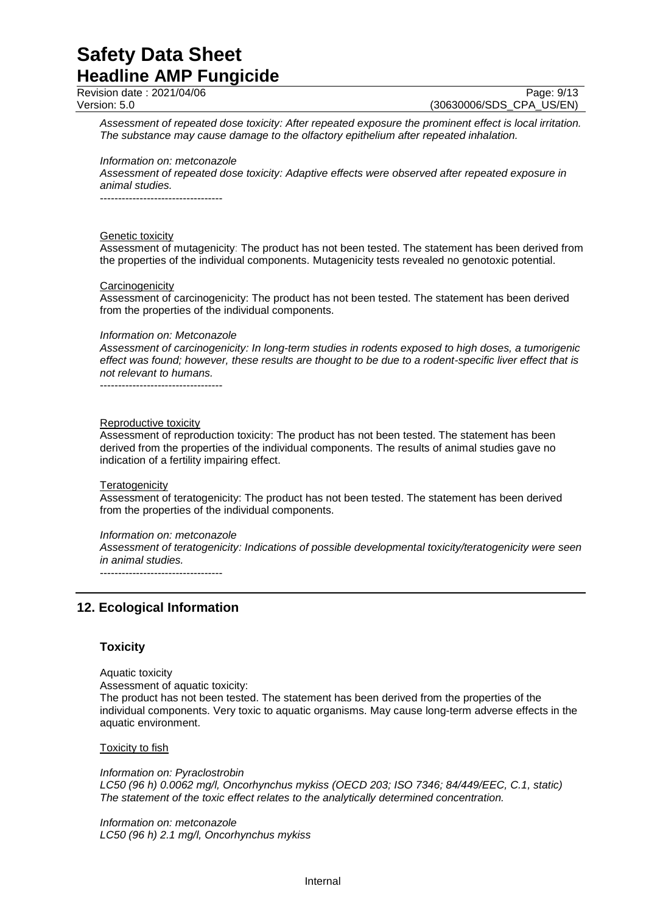Revision date : 2021/04/06 Page: 9/13<br>Version: 5.0 (30630006/SDS CPA US/EN) (30630006/SDS CPA US/EN)

*Assessment of repeated dose toxicity: After repeated exposure the prominent effect is local irritation. The substance may cause damage to the olfactory epithelium after repeated inhalation.*

*Information on: metconazole*

*Assessment of repeated dose toxicity: Adaptive effects were observed after repeated exposure in animal studies.*

----------------------------------

#### Genetic toxicity

Assessment of mutagenicity: The product has not been tested. The statement has been derived from the properties of the individual components. Mutagenicity tests revealed no genotoxic potential.

#### **Carcinogenicity**

Assessment of carcinogenicity: The product has not been tested. The statement has been derived from the properties of the individual components.

#### *Information on: Metconazole*

*Assessment of carcinogenicity: In long-term studies in rodents exposed to high doses, a tumorigenic effect was found; however, these results are thought to be due to a rodent-specific liver effect that is not relevant to humans.*

----------------------------------

#### Reproductive toxicity

Assessment of reproduction toxicity: The product has not been tested. The statement has been derived from the properties of the individual components. The results of animal studies gave no indication of a fertility impairing effect.

#### **Teratogenicity**

Assessment of teratogenicity: The product has not been tested. The statement has been derived from the properties of the individual components.

#### *Information on: metconazole*

*Assessment of teratogenicity: Indications of possible developmental toxicity/teratogenicity were seen in animal studies.*

----------------------------------

## **12. Ecological Information**

#### **Toxicity**

Aquatic toxicity

Assessment of aquatic toxicity:

The product has not been tested. The statement has been derived from the properties of the individual components. Very toxic to aquatic organisms. May cause long-term adverse effects in the aquatic environment.

#### Toxicity to fish

*Information on: Pyraclostrobin LC50 (96 h) 0.0062 mg/l, Oncorhynchus mykiss (OECD 203; ISO 7346; 84/449/EEC, C.1, static) The statement of the toxic effect relates to the analytically determined concentration.*

*Information on: metconazole LC50 (96 h) 2.1 mg/l, Oncorhynchus mykiss*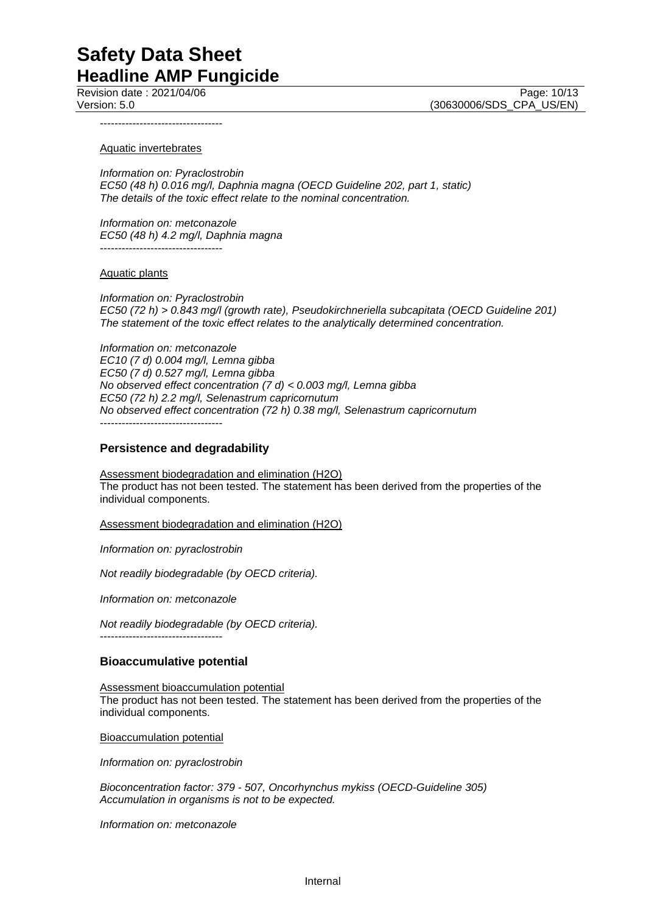Revision date : 2021/04/06 Page: 10/13 Version: 5.0 (30630006/SDS\_CPA\_US/EN)

----------------------------------

#### Aquatic invertebrates

*Information on: Pyraclostrobin EC50 (48 h) 0.016 mg/l, Daphnia magna (OECD Guideline 202, part 1, static) The details of the toxic effect relate to the nominal concentration.*

*Information on: metconazole EC50 (48 h) 4.2 mg/l, Daphnia magna* ----------------------------------

#### Aquatic plants

*Information on: Pyraclostrobin EC50 (72 h) > 0.843 mg/l (growth rate), Pseudokirchneriella subcapitata (OECD Guideline 201) The statement of the toxic effect relates to the analytically determined concentration.*

*Information on: metconazole EC10 (7 d) 0.004 mg/l, Lemna gibba EC50 (7 d) 0.527 mg/l, Lemna gibba No observed effect concentration (7 d) < 0.003 mg/l, Lemna gibba EC50 (72 h) 2.2 mg/l, Selenastrum capricornutum No observed effect concentration (72 h) 0.38 mg/l, Selenastrum capricornutum* ----------------------------------

#### **Persistence and degradability**

Assessment biodegradation and elimination (H2O) The product has not been tested. The statement has been derived from the properties of the individual components.

Assessment biodegradation and elimination (H2O)

*Information on: pyraclostrobin*

*Not readily biodegradable (by OECD criteria).*

*Information on: metconazole*

----------------------------------

*Not readily biodegradable (by OECD criteria).*

#### **Bioaccumulative potential**

Assessment bioaccumulation potential The product has not been tested. The statement has been derived from the properties of the individual components.

Bioaccumulation potential

*Information on: pyraclostrobin*

*Bioconcentration factor: 379 - 507, Oncorhynchus mykiss (OECD-Guideline 305) Accumulation in organisms is not to be expected.*

*Information on: metconazole*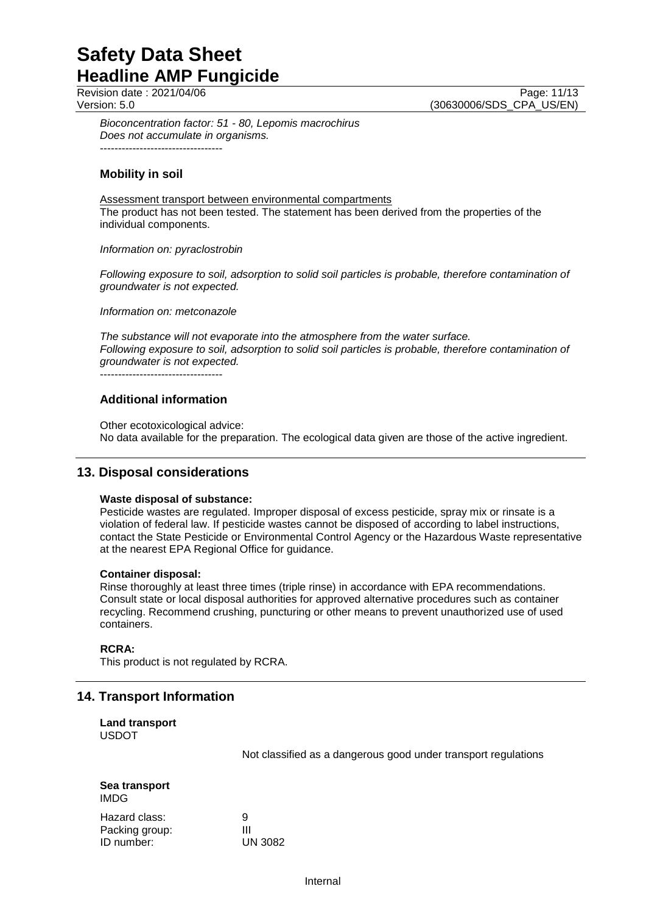Revision date : 2021/04/06 Page: 11/13<br>Version: 5.0 (30630006/SDS CPA US/EN) (30630006/SDS\_CPA\_US/EN)

*Bioconcentration factor: 51 - 80, Lepomis macrochirus Does not accumulate in organisms.* ----------------------------------

## **Mobility in soil**

Assessment transport between environmental compartments The product has not been tested. The statement has been derived from the properties of the individual components.

#### *Information on: pyraclostrobin*

*Following exposure to soil, adsorption to solid soil particles is probable, therefore contamination of groundwater is not expected.*

*Information on: metconazole*

*The substance will not evaporate into the atmosphere from the water surface. Following exposure to soil, adsorption to solid soil particles is probable, therefore contamination of groundwater is not expected.*

----------------------------------

## **Additional information**

Other ecotoxicological advice: No data available for the preparation. The ecological data given are those of the active ingredient.

## **13. Disposal considerations**

#### **Waste disposal of substance:**

Pesticide wastes are regulated. Improper disposal of excess pesticide, spray mix or rinsate is a violation of federal law. If pesticide wastes cannot be disposed of according to label instructions, contact the State Pesticide or Environmental Control Agency or the Hazardous Waste representative at the nearest EPA Regional Office for guidance.

#### **Container disposal:**

Rinse thoroughly at least three times (triple rinse) in accordance with EPA recommendations. Consult state or local disposal authorities for approved alternative procedures such as container recycling. Recommend crushing, puncturing or other means to prevent unauthorized use of used containers.

## **RCRA:**

This product is not regulated by RCRA.

## **14. Transport Information**

**Land transport** USDOT

Not classified as a dangerous good under transport regulations

| Sea transport<br>IMDG. |         |
|------------------------|---------|
| Hazard class:          | 9       |
| Packing group:         | ш       |
| ID number:             | UN 3082 |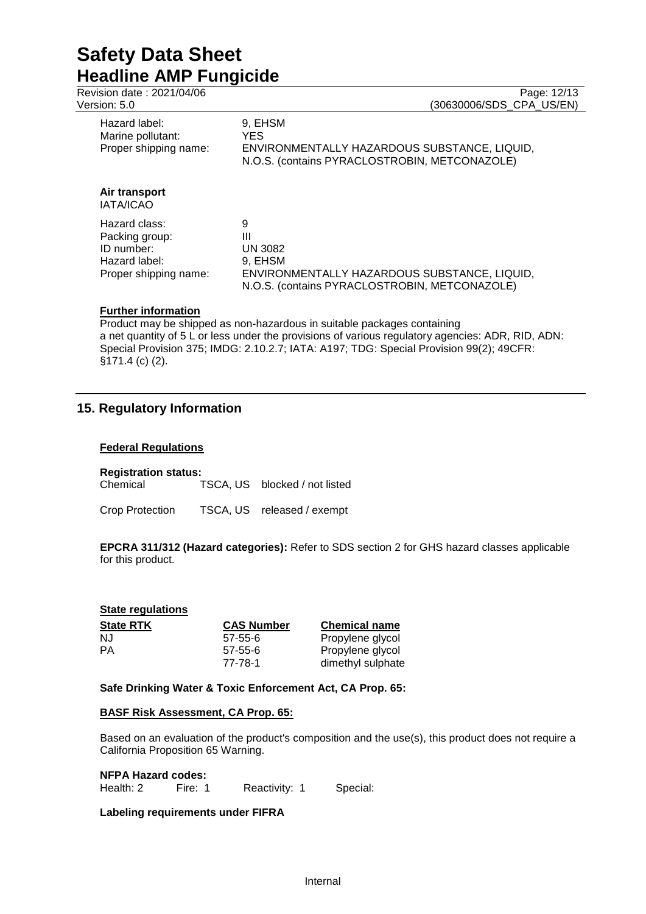| Revision date: 2021/04/06<br>Version: 5.0                                               | Page: 12/13<br>(30630006/SDS CPA US/EN)                                                                                       |
|-----------------------------------------------------------------------------------------|-------------------------------------------------------------------------------------------------------------------------------|
| Hazard label:<br>Marine pollutant:<br>Proper shipping name:                             | 9, EHSM<br>YES.<br>ENVIRONMENTALLY HAZARDOUS SUBSTANCE, LIQUID,<br>N.O.S. (contains PYRACLOSTROBIN, METCONAZOLE)              |
| Air transport<br>IATA/ICAO                                                              |                                                                                                                               |
| Hazard class:<br>Packing group:<br>ID number:<br>Hazard label:<br>Proper shipping name: | 9<br>Ш<br>UN 3082<br>9, EHSM<br>ENVIRONMENTALLY HAZARDOUS SUBSTANCE, LIQUID,<br>N.O.S. (contains PYRACLOSTROBIN, METCONAZOLE) |

Product may be shipped as non-hazardous in suitable packages containing a net quantity of 5 L or less under the provisions of various regulatory agencies: ADR, RID, ADN: Special Provision 375; IMDG: 2.10.2.7; IATA: A197; TDG: Special Provision 99(2); 49CFR: §171.4 (c) (2).

## **15. Regulatory Information**

## **Federal Regulations**

## **Registration status:**

Chemical TSCA, US blocked / not listed

Crop Protection TSCA, US released / exempt

**EPCRA 311/312 (Hazard categories):** Refer to SDS section 2 for GHS hazard classes applicable for this product.

| <b>State regulations</b> |                          |                                       |
|--------------------------|--------------------------|---------------------------------------|
| <b>State RTK</b>         | <b>CAS Number</b>        | <b>Chemical name</b>                  |
| NJ                       | $57 - 55 - 6$            | Propylene glycol                      |
| РA                       | $57 - 55 - 6$<br>77-78-1 | Propylene glycol<br>dimethyl sulphate |

## **Safe Drinking Water & Toxic Enforcement Act, CA Prop. 65:**

## **BASF Risk Assessment, CA Prop. 65:**

Based on an evaluation of the product's composition and the use(s), this product does not require a California Proposition 65 Warning.

## **NFPA Hazard codes:**

Health: 2 Fire: 1 Reactivity: 1 Special:

## **Labeling requirements under FIFRA**